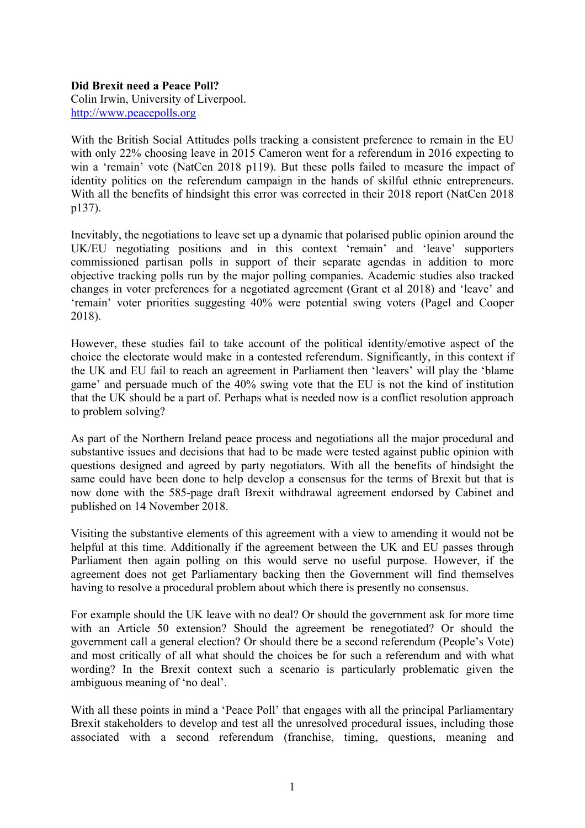## **Did Brexit need a Peace Poll?**

Colin Irwin, University of Liverpool. http://www.peacepolls.org

With the British Social Attitudes polls tracking a consistent preference to remain in the EU with only 22% choosing leave in 2015 Cameron went for a referendum in 2016 expecting to win a 'remain' vote (NatCen 2018 p119). But these polls failed to measure the impact of identity politics on the referendum campaign in the hands of skilful ethnic entrepreneurs. With all the benefits of hindsight this error was corrected in their 2018 report (NatCen 2018) p137).

Inevitably, the negotiations to leave set up a dynamic that polarised public opinion around the UK/EU negotiating positions and in this context 'remain' and 'leave' supporters commissioned partisan polls in support of their separate agendas in addition to more objective tracking polls run by the major polling companies. Academic studies also tracked changes in voter preferences for a negotiated agreement (Grant et al 2018) and 'leave' and 'remain' voter priorities suggesting 40% were potential swing voters (Pagel and Cooper 2018).

However, these studies fail to take account of the political identity/emotive aspect of the choice the electorate would make in a contested referendum. Significantly, in this context if the UK and EU fail to reach an agreement in Parliament then 'leavers' will play the 'blame game' and persuade much of the 40% swing vote that the EU is not the kind of institution that the UK should be a part of. Perhaps what is needed now is a conflict resolution approach to problem solving?

As part of the Northern Ireland peace process and negotiations all the major procedural and substantive issues and decisions that had to be made were tested against public opinion with questions designed and agreed by party negotiators. With all the benefits of hindsight the same could have been done to help develop a consensus for the terms of Brexit but that is now done with the 585-page draft Brexit withdrawal agreement endorsed by Cabinet and published on 14 November 2018.

Visiting the substantive elements of this agreement with a view to amending it would not be helpful at this time. Additionally if the agreement between the UK and EU passes through Parliament then again polling on this would serve no useful purpose. However, if the agreement does not get Parliamentary backing then the Government will find themselves having to resolve a procedural problem about which there is presently no consensus.

For example should the UK leave with no deal? Or should the government ask for more time with an Article 50 extension? Should the agreement be renegotiated? Or should the government call a general election? Or should there be a second referendum (People's Vote) and most critically of all what should the choices be for such a referendum and with what wording? In the Brexit context such a scenario is particularly problematic given the ambiguous meaning of 'no deal'.

With all these points in mind a 'Peace Poll' that engages with all the principal Parliamentary Brexit stakeholders to develop and test all the unresolved procedural issues, including those associated with a second referendum (franchise, timing, questions, meaning and